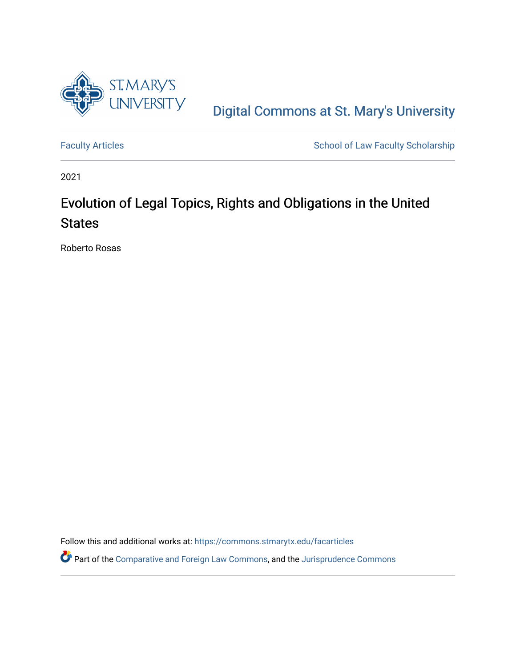

[Digital Commons at St. Mary's University](https://commons.stmarytx.edu/) 

[Faculty Articles](https://commons.stmarytx.edu/facarticles) **Faculty Articles** School of Law Faculty Scholarship

2021

# Evolution of Legal Topics, Rights and Obligations in the United **States**

Roberto Rosas

Follow this and additional works at: [https://commons.stmarytx.edu/facarticles](https://commons.stmarytx.edu/facarticles?utm_source=commons.stmarytx.edu%2Ffacarticles%2F638&utm_medium=PDF&utm_campaign=PDFCoverPages) 

Part of the [Comparative and Foreign Law Commons,](http://network.bepress.com/hgg/discipline/836?utm_source=commons.stmarytx.edu%2Ffacarticles%2F638&utm_medium=PDF&utm_campaign=PDFCoverPages) and the [Jurisprudence Commons](http://network.bepress.com/hgg/discipline/610?utm_source=commons.stmarytx.edu%2Ffacarticles%2F638&utm_medium=PDF&utm_campaign=PDFCoverPages)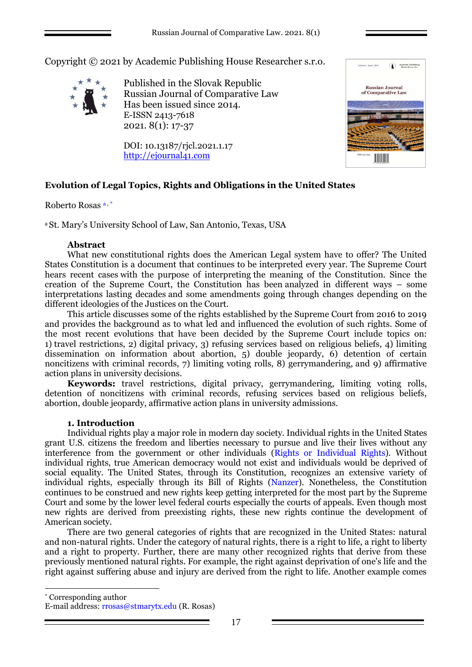Copyright © 2021 by Academic Publishing House Researcher s.r.o.



Published in the Slovak Republic Russian Journal of Comparative Law Has been issued since 2014. E-ISSN 2413-7618 2021. 8(1): 17-37

DOI: 10.13187/rjcl.2021.1.17 http://ejournal41.com



# **Evolution of Legal Topics, Rights and Obligations in the United States**

Roberto Rosas a , \*

a St. Mary's University School of Law, San Antonio, Texas, USA

## **Abstract**

What new constitutional rights does the American Legal system have to offer? The United States Constitution is a document that continues to be interpreted every year. The Supreme Court hears recent cases with the purpose of interpreting the meaning of the Constitution. Since the creation of the Supreme Court, the Constitution has been analyzed in different ways – some interpretations lasting decades and some amendments going through changes depending on the different ideologies of the Justices on the Court.

This article discusses some of the rights established by the Supreme Court from 2016 to 2019 and provides the background as to what led and influenced the evolution of such rights. Some of the most recent evolutions that have been decided by the Supreme Court include topics on: 1) travel restrictions, 2) digital privacy, 3) refusing services based on religious beliefs, 4) limiting dissemination on information about abortion, 5) double jeopardy, 6) detention of certain noncitizens with criminal records, 7) limiting voting rolls, 8) gerrymandering, and 9) affirmative action plans in university decisions.

**Keywords:** travel restrictions, digital privacy, gerrymandering, limiting voting rolls, detention of noncitizens with criminal records, refusing services based on religious beliefs, abortion, double jeopardy, affirmative action plans in university admissions.

## **1. Introduction**

Individual rights play a major role in modern day society. Individual rights in the United States grant U.S. citizens the freedom and liberties necessary to pursue and live their lives without any interference from the government or other individuals (Rights or Individual Rights)*.* Without individual rights, true American democracy would not exist and individuals would be deprived of social equality. The United States, through its Constitution, recognizes an extensive variety of individual rights, especially through its Bill of Rights (Nanzer)*.* Nonetheless, the Constitution continues to be construed and new rights keep getting interpreted for the most part by the Supreme Court and some by the lower level federal courts especially the courts of appeals. Even though most new rights are derived from preexisting rights, these new rights continue the development of American society.

There are two general categories of rights that are recognized in the United States: natural and non-natural rights. Under the category of natural rights, there is a right to life, a right to liberty and a right to property. Further, there are many other recognized rights that derive from these previously mentioned natural rights. For example, the right against deprivation of one's life and the right against suffering abuse and injury are derived from the right to life. Another example comes

\* Corresponding author

1

E-mail address[: rrosas@stmarytx.edu](mailto:rrosas@stmarytx.edu) (R. Rosas)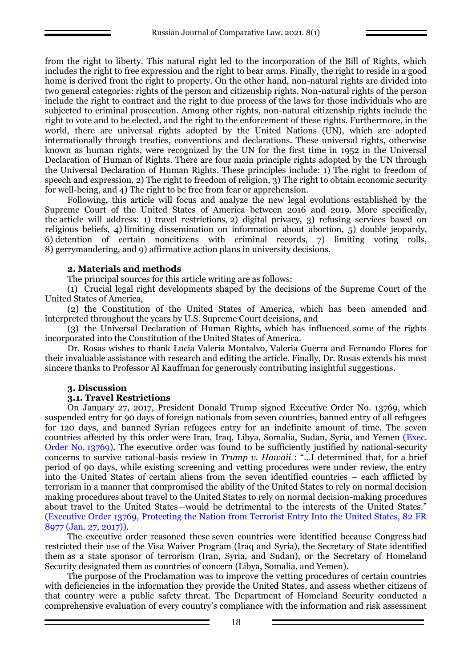from the right to liberty. This natural right led to the incorporation of the Bill of Rights, which includes the right to free expression and the right to bear arms. Finally, the right to reside in a good home is derived from the right to property. On the other hand, non-natural rights are divided into two general categories: rights of the person and citizenship rights. Non-natural rights of the person include the right to contract and the right to due process of the laws for those individuals who are subjected to criminal prosecution. Among other rights, non-natural citizenship rights include the right to vote and to be elected, and the right to the enforcement of these rights. Furthermore, in the world, there are universal rights adopted by the United Nations (UN), which are adopted internationally through treaties, conventions and declarations. These universal rights, otherwise known as human rights, were recognized by the UN for the first time in 1952 in the Universal Declaration of Human of Rights. There are four main principle rights adopted by the UN through the Universal Declaration of Human Rights. These principles include: 1) The right to freedom of speech and expression, 2) The right to freedom of religion, 3) The right to obtain economic security for well-being, and 4) The right to be free from fear or apprehension.

Following, this article will focus and analyze the new legal evolutions established by the Supreme Court of the United States of America between 2016 and 2019. More specifically, the article will address: 1) travel restrictions, 2) digital privacy, 3) refusing services based on religious beliefs, 4) limiting dissemination on information about abortion, 5) double jeopardy, 6) detention of certain noncitizens with criminal records, 7) limiting voting rolls, 8) gerrymandering, and 9) affirmative action plans in university decisions.

## **2. Materials and methods**

The principal sources for this article writing are as follows:

(1) Crucial legal right developments shaped by the decisions of the Supreme Court of the United States of America,

(2) the Constitution of the United States of America, which has been amended and interpreted throughout the years by U.S. Supreme Court decisions, and

(3) the Universal Declaration of Human Rights, which has influenced some of the rights incorporated into the Constitution of the United States of America.

Dr. Rosas wishes to thank Lucia Valeria Montalvo, Valeria Guerra and Fernando Flores for their invaluable assistance with research and editing the article. Finally, Dr. Rosas extends his most sincere thanks to Professor Al Kauffman for generously contributing insightful suggestions.

## **3. Discussion**

#### **3.1. Travel Restrictions**

On January 27, 2017, President Donald Trump signed Executive Order No. 13769, which suspended entry for 90 days of foreign nationals from seven countries, banned entry of all refugees for 120 days, and banned Syrian refugees entry for an indefinite amount of time. The seven countries affected by this order were Iran, Iraq, Libya, Somalia, Sudan, Syria, and Yemen (Exec. Order No. 13769)*.* The executive order was found to be sufficiently justified by national-security concerns to survive rational-basis review in *Trump v. Hawaii* : "…I determined that, for a brief period of 90 days, while existing screening and vetting procedures were under review, the entry into the United States of certain aliens from the seven identified countries – each afflicted by terrorism in a manner that compromised the ability of the United States to rely on normal decision making procedures about travel to the United States to rely on normal decision-making procedures about travel to the United States—would be detrimental to the interests of the United States." (Executive Order 13769, Protecting the Nation from Terrorist Entry Into the United States, 82 FR 8977 (Jan. 27, 2017)).

The executive order reasoned these seven countries were identified because Congress had restricted their use of the Visa Waiver Program (Iraq and Syria), the Secretary of State identified them as a state sponsor of terrorism (Iran, Syria, and Sudan), or the Secretary of Homeland Security designated them as countries of concern (Libya, Somalia, and Yemen).

The purpose of the Proclamation was to improve the vetting procedures of certain countries with deficiencies in the information they provide the United States, and assess whether citizens of that country were a public safety threat. The Department of Homeland Security conducted a comprehensive evaluation of every country's compliance with the information and risk assessment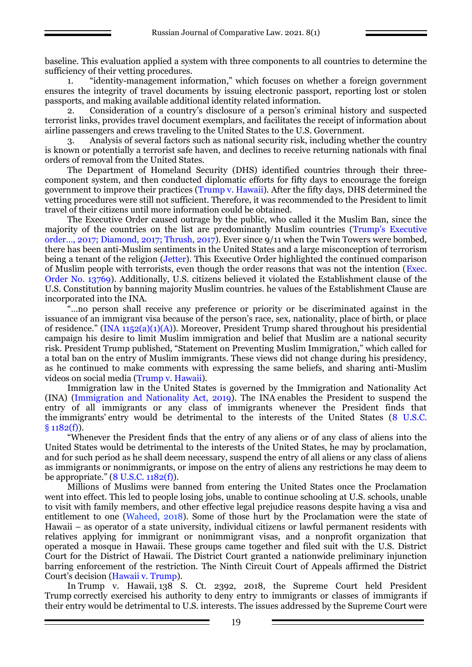baseline. This evaluation applied a system with three components to all countries to determine the sufficiency of their vetting procedures.

1. "identity-management information," which focuses on whether a foreign government ensures the integrity of travel documents by issuing electronic passport, reporting lost or stolen passports, and making available additional identity related information.

2. Consideration of a country's disclosure of a person's criminal history and suspected terrorist links, provides travel document exemplars, and facilitates the receipt of information about airline passengers and crews traveling to the United States to the U.S. Government.

3. Analysis of several factors such as national security risk, including whether the country is known or potentially a terrorist safe haven, and declines to receive returning nationals with final orders of removal from the United States.

The Department of Homeland Security (DHS) identified countries through their threecomponent system, and then conducted diplomatic efforts for fifty days to encourage the foreign government to improve their practices (Trump v. Hawaii)*.* After the fifty days, DHS determined the vetting procedures were still not sufficient. Therefore, it was recommended to the President to limit travel of their citizens until more information could be obtained.

The Executive Order caused outrage by the public, who called it the Muslim Ban, since the majority of the countries on the list are predominantly Muslim countries (Trump's Executive order…, 2017; Diamond, 2017; Thrush, 2017). Ever since 9/11 when the Twin Towers were bombed, there has been anti-Muslim sentiments in the United States and a large misconception of terrorism being a tenant of the religion (Jetter). This Executive Order highlighted the continued comparison of Muslim people with terrorists, even though the order reasons that was not the intention (Exec. Order No. 13769). Additionally, U.S. citizens believed it violated the Establishment clause of the U.S. Constitution by banning majority Muslim countries. he values of the Establishment Clause are incorporated into the INA.

"…no person shall receive any preference or priority or be discriminated against in the issuance of an immigrant visa because of the person's race, sex, nationality, place of birth, or place of residence." (INA  $1152(a)(1)(A)$ ). Moreover, President Trump shared throughout his presidential campaign his desire to limit Muslim immigration and belief that Muslim are a national security risk. President Trump published, "Statement on Preventing Muslim Immigration," which called for a total ban on the entry of Muslim immigrants. These views did not change during his presidency, as he continued to make comments with expressing the same beliefs, and sharing anti-Muslim videos on social media (Trump v. Hawaii)*.*

Immigration law in the United States is governed by the Immigration and Nationality Act (INA) (Immigration and Nationality Act, 2019)*.* The INA enables the President to suspend the entry of all immigrants or any class of immigrants whenever the President finds that the immigrants' entry would be detrimental to the interests of the United States (8 U.S.C.  $§ 1182(f).$ 

"Whenever the President finds that the entry of any aliens or of any class of aliens into the United States would be detrimental to the interests of the United States, he may by proclamation, and for such period as he shall deem necessary, suspend the entry of all aliens or any class of aliens as immigrants or nonimmigrants, or impose on the entry of aliens any restrictions he may deem to be appropriate."  $(8 \text{ U.S.C. } 1182 \text{ (f)}).$ 

Millions of Muslims were banned from entering the United States once the Proclamation went into effect. This led to people losing jobs, unable to continue schooling at U.S. schools, unable to visit with family members, and other effective legal prejudice reasons despite having a visa and entitlement to one (Waheed, 2018). Some of those hurt by the Proclamation were the state of Hawaii – as operator of a state university, individual citizens or lawful permanent residents with relatives applying for immigrant or nonimmigrant visas, and a nonprofit organization that operated a mosque in Hawaii. These groups came together and filed suit with the U.S. District Court for the District of Hawaii. The District Court granted a nationwide preliminary injunction barring enforcement of the restriction. The Ninth Circuit Court of Appeals affirmed the District Court's decision (Hawaii v. Trump).

In Trump v. Hawaii, 138 S. Ct. 2392, 2018, the Supreme Court held President Trump correctly exercised his authority to deny entry to immigrants or classes of immigrants if their entry would be detrimental to U.S. interests. The issues addressed by the Supreme Court were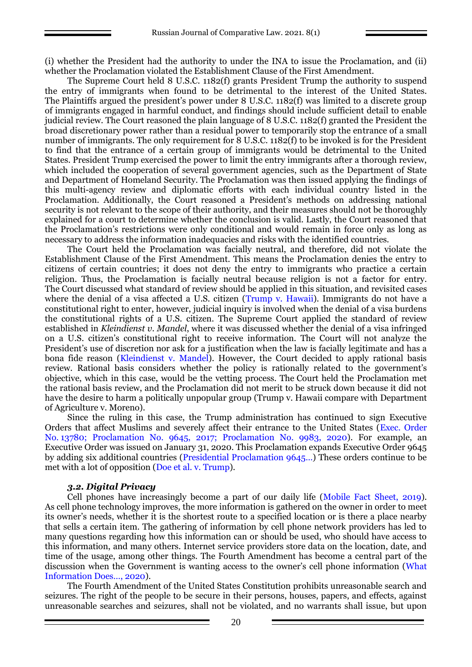(i) whether the President had the authority to under the INA to issue the Proclamation, and (ii) whether the Proclamation violated the Establishment Clause of the First Amendment.

The Supreme Court held 8 U.S.C. 1182(f) grants President Trump the authority to suspend the entry of immigrants when found to be detrimental to the interest of the United States. The Plaintiffs argued the president's power under 8 U.S.C. 1182(f) was limited to a discrete group of immigrants engaged in harmful conduct, and findings should include sufficient detail to enable judicial review. The Court reasoned the plain language of 8 U.S.C. 1182(f) granted the President the broad discretionary power rather than a residual power to temporarily stop the entrance of a small number of immigrants. The only requirement for 8 U.S.C. 1182(f) to be invoked is for the President to find that the entrance of a certain group of immigrants would be detrimental to the United States. President Trump exercised the power to limit the entry immigrants after a thorough review, which included the cooperation of several government agencies, such as the Department of State and Department of Homeland Security. The Proclamation was then issued applying the findings of this multi-agency review and diplomatic efforts with each individual country listed in the Proclamation. Additionally, the Court reasoned a President's methods on addressing national security is not relevant to the scope of their authority, and their measures should not be thoroughly explained for a court to determine whether the conclusion is valid. Lastly, the Court reasoned that the Proclamation's restrictions were only conditional and would remain in force only as long as necessary to address the information inadequacies and risks with the identified countries.

The Court held the Proclamation was facially neutral, and therefore, did not violate the Establishment Clause of the First Amendment. This means the Proclamation denies the entry to citizens of certain countries; it does not deny the entry to immigrants who practice a certain religion. Thus, the Proclamation is facially neutral because religion is not a factor for entry. The Court discussed what standard of review should be applied in this situation, and revisited cases where the denial of a visa affected a U.S. citizen (Trump v. Hawaii). Immigrants do not have a constitutional right to enter, however, judicial inquiry is involved when the denial of a visa burdens the constitutional rights of a U.S. citizen. The Supreme Court applied the standard of review established in *Kleindienst v. Mandel*, where it was discussed whether the denial of a visa infringed on a U.S. citizen's constitutional right to receive information. The Court will not analyze the President's use of discretion nor ask for a justification when the law is facially legitimate and has a bona fide reason (Kleindienst v. Mandel). However, the Court decided to apply rational basis review. Rational basis considers whether the policy is rationally related to the government's objective, which in this case, would be the vetting process. The Court held the Proclamation met the rational basis review, and the Proclamation did not merit to be struck down because it did not have the desire to harm a politically unpopular group (Trump v. Hawaii compare with Department of Agriculture v. Moreno).

Since the ruling in this case, the Trump administration has continued to sign Executive Orders that affect Muslims and severely affect their entrance to the United States (Exec. Order No. 13780; Proclamation No. 9645, 2017; Proclamation No. 9983, 2020). For example, an Executive Order was issued on January 31, 2020. This Proclamation expands Executive Order 9645 by adding six additional countries (Presidential Proclamation 9645…) These orders continue to be met with a lot of opposition (Doe et al. v. Trump).

#### *3.2. Digital Privacy*

Cell phones have increasingly become a part of our daily life (Mobile Fact Sheet, 2019). As cell phone technology improves, the more information is gathered on the owner in order to meet its owner's needs, whether it is the shortest route to a specified location or is there a place nearby that sells a certain item. The gathering of information by cell phone network providers has led to many questions regarding how this information can or should be used, who should have access to this information, and many others. Internet service providers store data on the location, date, and time of the usage, among other things. The Fourth Amendment has become a central part of the discussion when the Government is wanting access to the owner's cell phone information (What Information Does…, 2020).

The Fourth Amendment of the United States Constitution prohibits unreasonable search and seizures. The right of the people to be secure in their persons, houses, papers, and effects, against unreasonable searches and seizures, shall not be violated, and no warrants shall issue, but upon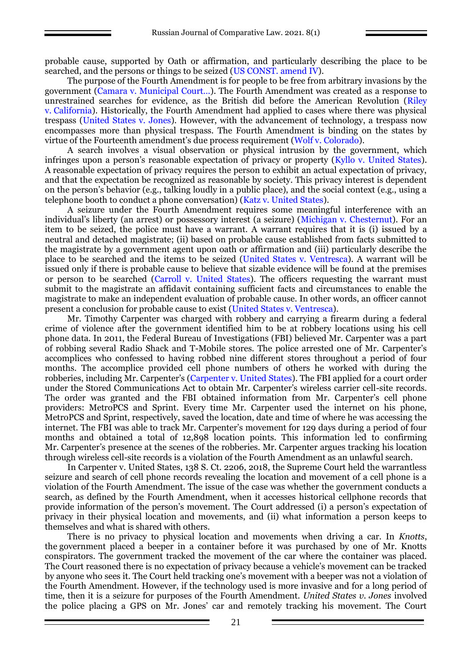probable cause, supported by Oath or affirmation, and particularly describing the place to be searched, and the persons or things to be seized (US CONST. amend IV).

The purpose of the Fourth Amendment is for people to be free from arbitrary invasions by the government (Camara v. Municipal Court…). The Fourth Amendment was created as a response to unrestrained searches for evidence, as the British did before the American Revolution (Riley v. California). Historically, the Fourth Amendment had applied to cases where there was physical trespass (United States v. Jones). However, with the advancement of technology, a trespass now encompasses more than physical trespass. The Fourth Amendment is binding on the states by virtue of the Fourteenth amendment's due process requirement (Wolf v. Colorado).

A search involves a visual observation or physical intrusion by the government, which infringes upon a person's reasonable expectation of privacy or property (Kyllo v. United States). A reasonable expectation of privacy requires the person to exhibit an actual expectation of privacy, and that the expectation be recognized as reasonable by society. This privacy interest is dependent on the person's behavior (e.g., talking loudly in a public place), and the social context (e.g., using a telephone booth to conduct a phone conversation) (Katz v. United States).

A seizure under the Fourth Amendment requires some meaningful interference with an individual's liberty (an arrest) or possessory interest (a seizure) (Michigan v. Chesternut). For an item to be seized, the police must have a warrant. A warrant requires that it is (i) issued by a neutral and detached magistrate; (ii) based on probable cause established from facts submitted to the magistrate by a government agent upon oath or affirmation and (iii) particularly describe the place to be searched and the items to be seized (United States v. Ventresca). A warrant will be issued only if there is probable cause to believe that sizable evidence will be found at the premises or person to be searched (Carroll v. United States). The officers requesting the warrant must submit to the magistrate an affidavit containing sufficient facts and circumstances to enable the magistrate to make an independent evaluation of probable cause. In other words, an officer cannot present a conclusion for probable cause to exist (United States v. Ventresca).

Mr. Timothy Carpenter was charged with robbery and carrying a firearm during a federal crime of violence after the government identified him to be at robbery locations using his cell phone data. In 2011, the Federal Bureau of Investigations (FBI) believed Mr. Carpenter was a part of robbing several Radio Shack and T-Mobile stores. The police arrested one of Mr. Carpenter's accomplices who confessed to having robbed nine different stores throughout a period of four months. The accomplice provided cell phone numbers of others he worked with during the robberies, including Mr. Carpenter's (Carpenter v. United States). The FBI applied for a court order under the Stored Communications Act to obtain Mr. Carpenter's wireless carrier cell-site records. The order was granted and the FBI obtained information from Mr. Carpenter's cell phone providers: MetroPCS and Sprint. Every time Mr. Carpenter used the internet on his phone, MetroPCS and Sprint, respectively, saved the location, date and time of where he was accessing the internet. The FBI was able to track Mr. Carpenter's movement for 129 days during a period of four months and obtained a total of 12,898 location points. This information led to confirming Mr. Carpenter's presence at the scenes of the robberies. Mr. Carpenter argues tracking his location through wireless cell-site records is a violation of the Fourth Amendment as an unlawful search.

In Carpenter v. United States, 138 S. Ct. 2206, 2018, the Supreme Court held the warrantless seizure and search of cell phone records revealing the location and movement of a cell phone is a violation of the Fourth Amendment. The issue of the case was whether the government conducts a search, as defined by the Fourth Amendment, when it accesses historical cellphone records that provide information of the person's movement. The Court addressed (i) a person's expectation of privacy in their physical location and movements, and (ii) what information a person keeps to themselves and what is shared with others.

There is no privacy to physical location and movements when driving a car. In *Knotts*, the government placed a beeper in a container before it was purchased by one of Mr. Knotts conspirators. The government tracked the movement of the car where the container was placed. The Court reasoned there is no expectation of privacy because a vehicle's movement can be tracked by anyone who sees it. The Court held tracking one's movement with a beeper was not a violation of the Fourth Amendment. However, if the technology used is more invasive and for a long period of time, then it is a seizure for purposes of the Fourth Amendment. *United States v. Jones* involved the police placing a GPS on Mr. Jones' car and remotely tracking his movement. The Court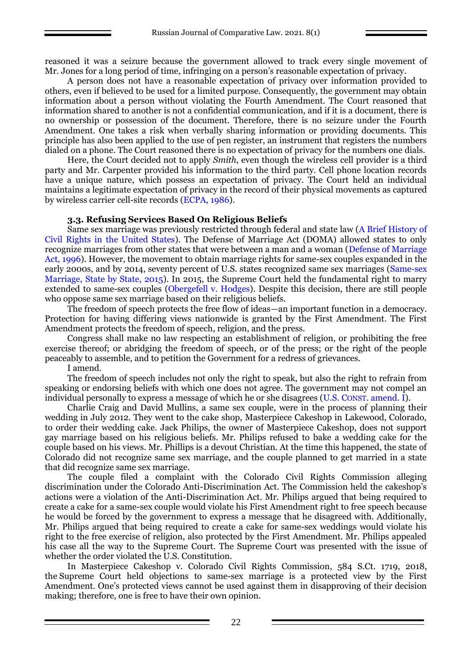reasoned it was a seizure because the government allowed to track every single movement of Mr. Jones for a long period of time, infringing on a person's reasonable expectation of privacy.

A person does not have a reasonable expectation of privacy over information provided to others, even if believed to be used for a limited purpose. Consequently, the government may obtain information about a person without violating the Fourth Amendment. The Court reasoned that information shared to another is not a confidential communication, and if it is a document, there is no ownership or possession of the document. Therefore, there is no seizure under the Fourth Amendment. One takes a risk when verbally sharing information or providing documents. This principle has also been applied to the use of pen register, an instrument that registers the numbers dialed on a phone. The Court reasoned there is no expectation of privacy for the numbers one dials.

Here, the Court decided not to apply *Smith*, even though the wireless cell provider is a third party and Mr. Carpenter provided his information to the third party. Cell phone location records have a unique nature, which possess an expectation of privacy. The Court held an individual maintains a legitimate expectation of privacy in the record of their physical movements as captured by wireless carrier cell-site records (ECPA, 1986).

## **3.3. Refusing Services Based On Religious Beliefs**

Same sex marriage was previously restricted through federal and state law (A Brief History of Civil Rights in the United States). The Defense of Marriage Act (DOMA) allowed states to only recognize marriages from other states that were between a man and a woman (Defense of Marriage Act, 1996). However, the movement to obtain marriage rights for same-sex couples expanded in the early 2000s, and by 2014, seventy percent of U.S. states recognized same sex marriages (Same-sex Marriage, State by State, 2015). In 2015, the Supreme Court held the fundamental right to marry extended to same-sex couples (Obergefell v. Hodges). Despite this decision, there are still people who oppose same sex marriage based on their religious beliefs.

The freedom of speech protects the free flow of ideas—an important function in a democracy. Protection for having differing views nationwide is granted by the First Amendment. The First Amendment protects the freedom of speech, religion, and the press.

Congress shall make no law respecting an establishment of religion, or prohibiting the free exercise thereof; or abridging the freedom of speech, or of the press; or the right of the people peaceably to assemble, and to petition the Government for a redress of grievances.

I amend.

The freedom of speech includes not only the right to speak, but also the right to refrain from speaking or endorsing beliefs with which one does not agree. The government may not compel an individual personally to express a message of which he or she disagrees (U.S. CONST. amend. I).

Charlie Craig and David Mullins, a same sex couple, were in the process of planning their wedding in July 2012. They went to the cake shop, Masterpiece Cakeshop in Lakewood, Colorado, to order their wedding cake. Jack Philips, the owner of Masterpiece Cakeshop, does not support gay marriage based on his religious beliefs. Mr. Philips refused to bake a wedding cake for the couple based on his views. Mr. Phillips is a devout Christian. At the time this happened, the state of Colorado did not recognize same sex marriage, and the couple planned to get married in a state that did recognize same sex marriage.

The couple filed a complaint with the Colorado Civil Rights Commission alleging discrimination under the Colorado Anti-Discrimination Act. The Commission held the cakeshop's actions were a violation of the Anti-Discrimination Act. Mr. Philips argued that being required to create a cake for a same-sex couple would violate his First Amendment right to free speech because he would be forced by the government to express a message that he disagreed with. Additionally, Mr. Philips argued that being required to create a cake for same-sex weddings would violate his right to the free exercise of religion, also protected by the First Amendment. Mr. Philips appealed his case all the way to the Supreme Court. The Supreme Court was presented with the issue of whether the order violated the U.S. Constitution.

In Masterpiece Cakeshop v. Colorado Civil Rights Commission, 584 S.Ct. 1719, 2018, the Supreme Court held objections to same-sex marriage is a protected view by the First Amendment. One's protected views cannot be used against them in disapproving of their decision making; therefore, one is free to have their own opinion.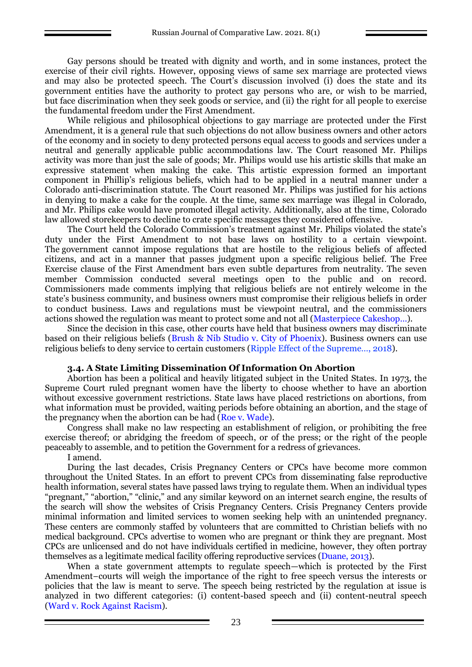Gay persons should be treated with dignity and worth, and in some instances, protect the exercise of their civil rights. However, opposing views of same sex marriage are protected views and may also be protected speech. The Court's discussion involved (i) does the state and its government entities have the authority to protect gay persons who are, or wish to be married, but face discrimination when they seek goods or service, and (ii) the right for all people to exercise the fundamental freedom under the First Amendment.

While religious and philosophical objections to gay marriage are protected under the First Amendment, it is a general rule that such objections do not allow business owners and other actors of the economy and in society to deny protected persons equal access to goods and services under a neutral and generally applicable public accommodations law. The Court reasoned Mr. Philips activity was more than just the sale of goods; Mr. Philips would use his artistic skills that make an expressive statement when making the cake. This artistic expression formed an important component in Phillip's religious beliefs, which had to be applied in a neutral manner under a Colorado anti-discrimination statute. The Court reasoned Mr. Philips was justified for his actions in denying to make a cake for the couple. At the time, same sex marriage was illegal in Colorado, and Mr. Philips cake would have promoted illegal activity. Additionally, also at the time, Colorado law allowed storekeepers to decline to crate specific messages they considered offensive.

The Court held the Colorado Commission's treatment against Mr. Philips violated the state's duty under the First Amendment to not base laws on hostility to a certain viewpoint. The government cannot impose regulations that are hostile to the religious beliefs of affected citizens, and act in a manner that passes judgment upon a specific religious belief. The Free Exercise clause of the First Amendment bars even subtle departures from neutrality. The seven member Commission conducted several meetings open to the public and on record. Commissioners made comments implying that religious beliefs are not entirely welcome in the state's business community, and business owners must compromise their religious beliefs in order to conduct business. Laws and regulations must be viewpoint neutral, and the commissioners actions showed the regulation was meant to protect some and not all (Masterpiece Cakeshop…).

Since the decision in this case, other courts have held that business owners may discriminate based on their religious beliefs (Brush & Nib Studio v. City of Phoenix). Business owners can use religious beliefs to deny service to certain customers (Ripple Effect of the Supreme…, 2018).

## **3.4. A State Limiting Dissemination Of Information On Abortion**

Abortion has been a political and heavily litigated subject in the United States. In 1973, the Supreme Court ruled pregnant women have the liberty to choose whether to have an abortion without excessive government restrictions. State laws have placed restrictions on abortions, from what information must be provided, waiting periods before obtaining an abortion, and the stage of the pregnancy when the abortion can be had (Roe v. Wade).

Congress shall make no law respecting an establishment of religion, or prohibiting the free exercise thereof; or abridging the freedom of speech, or of the press; or the right of the people peaceably to assemble, and to petition the Government for a redress of grievances.

I amend.

During the last decades, Crisis Pregnancy Centers or CPCs have become more common throughout the United States. In an effort to prevent CPCs from disseminating false reproductive health information, several states have passed laws trying to regulate them. When an individual types "pregnant," "abortion," "clinic," and any similar keyword on an internet search engine, the results of the search will show the websites of Crisis Pregnancy Centers. Crisis Pregnancy Centers provide minimal information and limited services to women seeking help with an unintended pregnancy. These centers are commonly staffed by volunteers that are committed to Christian beliefs with no medical background. CPCs advertise to women who are pregnant or think they are pregnant. Most CPCs are unlicensed and do not have individuals certified in medicine, however, they often portray themselves as a legitimate medical facility offering reproductive services (Duane, 2013).

When a state government attempts to regulate speech—which is protected by the First Amendment−courts will weigh the importance of the right to free speech versus the interests or policies that the law is meant to serve. The speech being restricted by the regulation at issue is analyzed in two different categories: (i) content-based speech and (ii) content-neutral speech (Ward v. Rock Against Racism).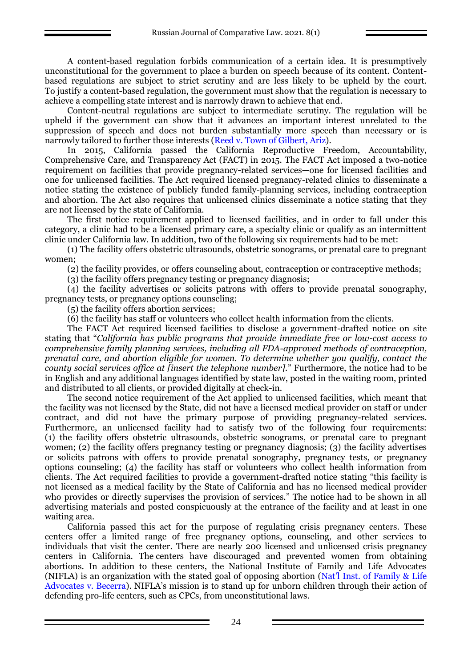A content-based regulation forbids communication of a certain idea. It is presumptively unconstitutional for the government to place a burden on speech because of its content. Contentbased regulations are subject to strict scrutiny and are less likely to be upheld by the court. To justify a content-based regulation, the government must show that the regulation is necessary to achieve a compelling state interest and is narrowly drawn to achieve that end.

Content-neutral regulations are subject to intermediate scrutiny. The regulation will be upheld if the government can show that it advances an important interest unrelated to the suppression of speech and does not burden substantially more speech than necessary or is narrowly tailored to further those interests (Reed v. Town of Gilbert, Ariz).

In 2015, California passed the California Reproductive Freedom, Accountability, Comprehensive Care, and Transparency Act (FACT) in 2015. The FACT Act imposed a two-notice requirement on facilities that provide pregnancy-related services—one for licensed facilities and one for unlicensed facilities. The Act required licensed pregnancy-related clinics to disseminate a notice stating the existence of publicly funded family-planning services, including contraception and abortion. The Act also requires that unlicensed clinics disseminate a notice stating that they are not licensed by the state of California.

The first notice requirement applied to licensed facilities, and in order to fall under this category, a clinic had to be a licensed primary care, a specialty clinic or qualify as an intermittent clinic under California law. In addition, two of the following six requirements had to be met:

(1) The facility offers obstetric ultrasounds, obstetric sonograms, or prenatal care to pregnant women;

(2) the facility provides, or offers counseling about, contraception or contraceptive methods;

(3) the facility offers pregnancy testing or pregnancy diagnosis;

(4) the facility advertises or solicits patrons with offers to provide prenatal sonography, pregnancy tests, or pregnancy options counseling;

(5) the facility offers abortion services;

(6) the facility has staff or volunteers who collect health information from the clients.

The FACT Act required licensed facilities to disclose a government-drafted notice on site stating that "*California has public programs that provide immediate free or low-cost access to comprehensive family planning services, including all FDA-approved methods of contraception, prenatal care, and abortion eligible for women. To determine whether you qualify, contact the county social services office at [insert the telephone number].*" Furthermore, the notice had to be in English and any additional languages identified by state law, posted in the waiting room, printed and distributed to all clients, or provided digitally at check-in.

The second notice requirement of the Act applied to unlicensed facilities, which meant that the facility was not licensed by the State, did not have a licensed medical provider on staff or under contract, and did not have the primary purpose of providing pregnancy-related services. Furthermore, an unlicensed facility had to satisfy two of the following four requirements: (1) the facility offers obstetric ultrasounds, obstetric sonograms, or prenatal care to pregnant women; (2) the facility offers pregnancy testing or pregnancy diagnosis; (3) the facility advertises or solicits patrons with offers to provide prenatal sonography, pregnancy tests, or pregnancy options counseling; (4) the facility has staff or volunteers who collect health information from clients. The Act required facilities to provide a government-drafted notice stating "this facility is not licensed as a medical facility by the State of California and has no licensed medical provider who provides or directly supervises the provision of services." The notice had to be shown in all advertising materials and posted conspicuously at the entrance of the facility and at least in one waiting area.

California passed this act for the purpose of regulating crisis pregnancy centers. These centers offer a limited range of free pregnancy options, counseling, and other services to individuals that visit the center. There are nearly 200 licensed and unlicensed crisis pregnancy centers in California. The centers have discouraged and prevented women from obtaining abortions. In addition to these centers, the National Institute of Family and Life Advocates (NIFLA) is an organization with the stated goal of opposing abortion (Nat'l Inst. of Family & Life Advocates v. Becerra). NIFLA's mission is to stand up for unborn children through their action of defending pro-life centers, such as CPCs, from unconstitutional laws.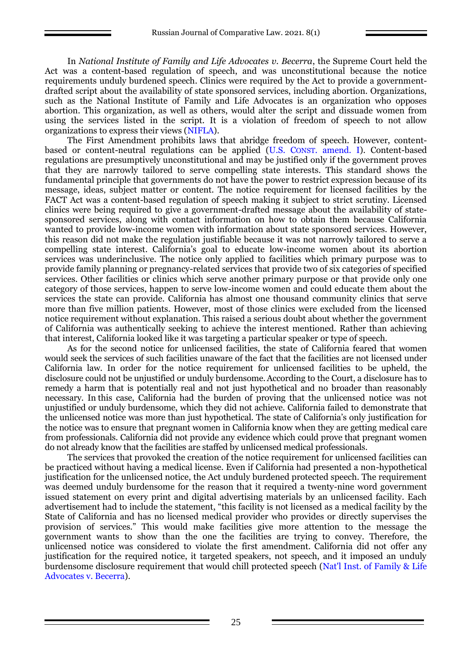In *National Institute of Family and Life Advocates v. Becerra*, the Supreme Court held the Act was a content-based regulation of speech, and was unconstitutional because the notice requirements unduly burdened speech. Clinics were required by the Act to provide a governmentdrafted script about the availability of state sponsored services, including abortion. Organizations, such as the National Institute of Family and Life Advocates is an organization who opposes abortion. This organization, as well as others, would alter the script and dissuade women from using the services listed in the script. It is a violation of freedom of speech to not allow organizations to express their views (NIFLA).

The First Amendment prohibits laws that abridge freedom of speech. However, contentbased or content-neutral regulations can be applied (U.S. CONST. amend. I). Content-based regulations are presumptively unconstitutional and may be justified only if the government proves that they are narrowly tailored to serve compelling state interests. This standard shows the fundamental principle that governments do not have the power to restrict expression because of its message, ideas, subject matter or content. The notice requirement for licensed facilities by the FACT Act was a content-based regulation of speech making it subject to strict scrutiny. Licensed clinics were being required to give a government-drafted message about the availability of statesponsored services, along with contact information on how to obtain them because California wanted to provide low-income women with information about state sponsored services. However, this reason did not make the regulation justifiable because it was not narrowly tailored to serve a compelling state interest. California's goal to educate low-income women about its abortion services was underinclusive. The notice only applied to facilities which primary purpose was to provide family planning or pregnancy-related services that provide two of six categories of specified services. Other facilities or clinics which serve another primary purpose or that provide only one category of those services, happen to serve low-income women and could educate them about the services the state can provide. California has almost one thousand community clinics that serve more than five million patients. However, most of those clinics were excluded from the licensed notice requirement without explanation. This raised a serious doubt about whether the government of California was authentically seeking to achieve the interest mentioned. Rather than achieving that interest, California looked like it was targeting a particular speaker or type of speech.

As for the second notice for unlicensed facilities, the state of California feared that women would seek the services of such facilities unaware of the fact that the facilities are not licensed under California law. In order for the notice requirement for unlicensed facilities to be upheld, the disclosure could not be unjustified or unduly burdensome.According to the Court, a disclosure has to remedy a harm that is potentially real and not just hypothetical and no broader than reasonably necessary. In this case, California had the burden of proving that the unlicensed notice was not unjustified or unduly burdensome, which they did not achieve. California failed to demonstrate that the unlicensed notice was more than just hypothetical. The state of California's only justification for the notice was to ensure that pregnant women in California know when they are getting medical care from professionals. California did not provide any evidence which could prove that pregnant women do not already know that the facilities are staffed by unlicensed medical professionals.

The services that provoked the creation of the notice requirement for unlicensed facilities can be practiced without having a medical license. Even if California had presented a non-hypothetical justification for the unlicensed notice, the Act unduly burdened protected speech. The requirement was deemed unduly burdensome for the reason that it required a twenty-nine word government issued statement on every print and digital advertising materials by an unlicensed facility. Each advertisement had to include the statement, "this facility is not licensed as a medical facility by the State of California and has no licensed medical provider who provides or directly supervises the provision of services." This would make facilities give more attention to the message the government wants to show than the one the facilities are trying to convey. Therefore, the unlicensed notice was considered to violate the first amendment. California did not offer any justification for the required notice, it targeted speakers, not speech, and it imposed an unduly burdensome disclosure requirement that would chill protected speech (Nat'l Inst. of Family & Life Advocates v. Becerra).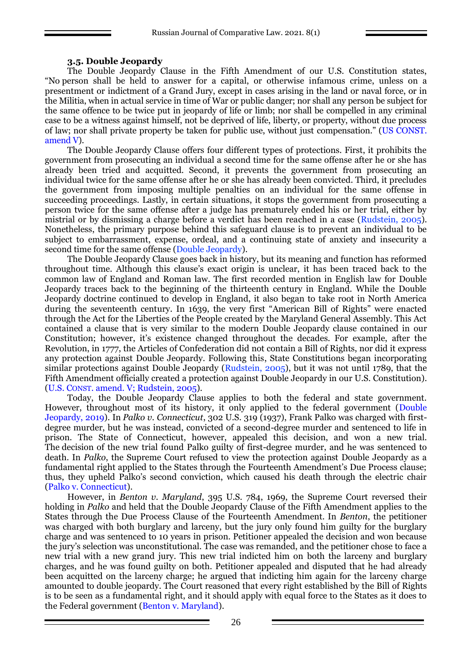## **3.5. Double Jeopardy**

The Double Jeopardy Clause in the Fifth Amendment of our U.S. Constitution states, "No person shall be held to answer for a capital, or otherwise infamous crime, unless on a presentment or indictment of a Grand Jury, except in cases arising in the land or naval force, or in the Militia, when in actual service in time of War or public danger; nor shall any person be subject for the same offence to be twice put in jeopardy of life or limb; nor shall be compelled in any criminal case to be a witness against himself, not be deprived of life, liberty, or property, without due process of law; nor shall private property be taken for public use, without just compensation." (US CONST. amend V).

The Double Jeopardy Clause offers four different types of protections. First, it prohibits the government from prosecuting an individual a second time for the same offense after he or she has already been tried and acquitted. Second, it prevents the government from prosecuting an individual twice for the same offense after he or she has already been convicted. Third, it precludes the government from imposing multiple penalties on an individual for the same offense in succeeding proceedings. Lastly, in certain situations, it stops the government from prosecuting a person twice for the same offense after a judge has prematurely ended his or her trial, either by mistrial or by dismissing a charge before a verdict has been reached in a case (Rudstein, 2005). Nonetheless, the primary purpose behind this safeguard clause is to prevent an individual to be subject to embarrassment, expense, ordeal, and a continuing state of anxiety and insecurity a second time for the same offense (Double Jeopardy).

The Double Jeopardy Clause goes back in history, but its meaning and function has reformed throughout time. Although this clause's exact origin is unclear, it has been traced back to the common law of England and Roman law. The first recorded mention in English law for Double Jeopardy traces back to the beginning of the thirteenth century in England. While the Double Jeopardy doctrine continued to develop in England, it also began to take root in North America during the seventeenth century. In 1639, the very first "American Bill of Rights" were enacted through the Act for the Liberties of the People created by the Maryland General Assembly. This Act contained a clause that is very similar to the modern Double Jeopardy clause contained in our Constitution; however, it's existence changed throughout the decades. For example, after the Revolution, in 1777, the Articles of Confederation did not contain a Bill of Rights, nor did it express any protection against Double Jeopardy. Following this, State Constitutions began incorporating similar protections against Double Jeopardy (Rudstein, 2005), but it was not until 1789, that the Fifth Amendment officially created a protection against Double Jeopardy in our U.S. Constitution). (U.S. CONST. amend. V; Rudstein, 2005).

Today, the Double Jeopardy Clause applies to both the federal and state government. However, throughout most of its history, it only applied to the federal government (Double Jeopardy, 2019). In *Palko v. Connecticut*, 302 U.S. 319 (1937), Frank Palko was charged with firstdegree murder, but he was instead, convicted of a second-degree murder and sentenced to life in prison. The State of Connecticut, however, appealed this decision, and won a new trial. The decision of the new trial found Palko guilty of first-degree murder, and he was sentenced to death. In *Palko*, the Supreme Court refused to view the protection against Double Jeopardy as a fundamental right applied to the States through the Fourteenth Amendment's Due Process clause; thus, they upheld Palko's second conviction, which caused his death through the electric chair (Palko v. Connecticut).

However, in *Benton v. Maryland*, 395 U.S. 784, 1969, the Supreme Court reversed their holding in *Palko* and held that the Double Jeopardy Clause of the Fifth Amendment applies to the States through the Due Process Clause of the Fourteenth Amendment. In *Benton*, the petitioner was charged with both burglary and larceny, but the jury only found him guilty for the burglary charge and was sentenced to 10 years in prison. Petitioner appealed the decision and won because the jury's selection was unconstitutional. The case was remanded, and the petitioner chose to face a new trial with a new grand jury. This new trial indicted him on both the larceny and burglary charges, and he was found guilty on both. Petitioner appealed and disputed that he had already been acquitted on the larceny charge; he argued that indicting him again for the larceny charge amounted to double jeopardy. The Court reasoned that every right established by the Bill of Rights is to be seen as a fundamental right, and it should apply with equal force to the States as it does to the Federal government (Benton v. Maryland).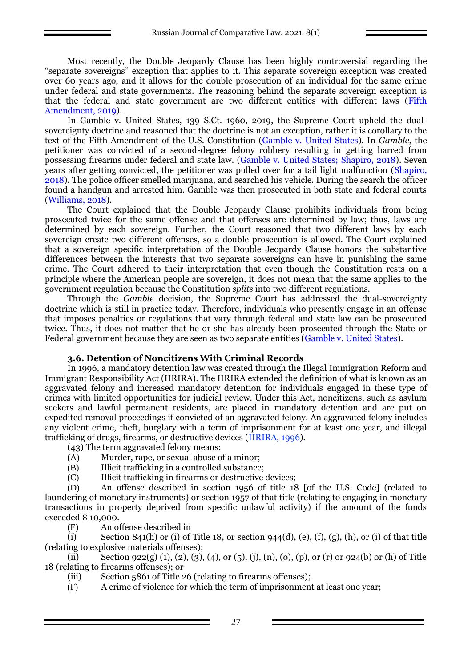Most recently, the Double Jeopardy Clause has been highly controversial regarding the "separate sovereigns" exception that applies to it. This separate sovereign exception was created over 60 years ago, and it allows for the double prosecution of an individual for the same crime under federal and state governments. The reasoning behind the separate sovereign exception is that the federal and state government are two different entities with different laws (Fifth Amendment, 2019).

In Gamble v. United States, 139 S.Ct. 1960, 2019, the Supreme Court upheld the dualsovereignty doctrine and reasoned that the doctrine is not an exception, rather it is corollary to the text of the Fifth Amendment of the U.S. Constitution (Gamble v. United States). In *Gamble*, the petitioner was convicted of a second-degree felony robbery resulting in getting barred from possessing firearms under federal and state law. (Gamble v. United States; Shapiro, 2018). Seven years after getting convicted, the petitioner was pulled over for a tail light malfunction (Shapiro, 2018). The police officer smelled marijuana, and searched his vehicle. During the search the officer found a handgun and arrested him. Gamble was then prosecuted in both state and federal courts (Williams, 2018).

The Court explained that the Double Jeopardy Clause prohibits individuals from being prosecuted twice for the same offense and that offenses are determined by law; thus, laws are determined by each sovereign. Further, the Court reasoned that two different laws by each sovereign create two different offenses, so a double prosecution is allowed. The Court explained that a sovereign specific interpretation of the Double Jeopardy Clause honors the substantive differences between the interests that two separate sovereigns can have in punishing the same crime. The Court adhered to their interpretation that even though the Constitution rests on a principle where the American people are sovereign, it does not mean that the same applies to the government regulation because the Constitution *splits* into two different regulations.

Through the *Gamble* decision, the Supreme Court has addressed the dual-sovereignty doctrine which is still in practice today. Therefore, individuals who presently engage in an offense that imposes penalties or regulations that vary through federal and state law can be prosecuted twice. Thus, it does not matter that he or she has already been prosecuted through the State or Federal government because they are seen as two separate entities (Gamble v. United States).

## **3.6. Detention of Noncitizens With Criminal Records**

In 1996, a mandatory detention law was created through the Illegal Immigration Reform and Immigrant Responsibility Act (IIRIRA). The IIRIRA extended the definition of what is known as an aggravated felony and increased mandatory detention for individuals engaged in these type of crimes with limited opportunities for judicial review. Under this Act, noncitizens, such as asylum seekers and lawful permanent residents, are placed in mandatory detention and are put on expedited removal proceedings if convicted of an aggravated felony. An aggravated felony includes any violent crime, theft, burglary with a term of imprisonment for at least one year, and illegal trafficking of drugs, firearms, or destructive devices (IIRIRA, 1996).

(43) The term aggravated felony means:

- (A) Murder, rape, or sexual abuse of a minor;
- (B) Illicit trafficking in a controlled substance;
- (C) Illicit trafficking in firearms or destructive devices;

(D) An offense described in section 1956 of title 18 [of the U.S. Code] (related to laundering of monetary instruments) or section 1957 of that title (relating to engaging in monetary transactions in property deprived from specific unlawful activity) if the amount of the funds exceeded \$ 10,000.

(E) An offense described in

 $(i)$  Section 841(h) or (i) of Title 18, or section 944(d), (e), (f), (g), (h), or (i) of that title (relating to explosive materials offenses);

(ii) Section 922(g) (1), (2), (3), (4), or (5), (j), (n), (o), (p), or (r) or 924(b) or (h) of Title 18 (relating to firearms offenses); or

(iii) Section 5861 of Title 26 (relating to firearms offenses);

(F) A crime of violence for which the term of imprisonment at least one year;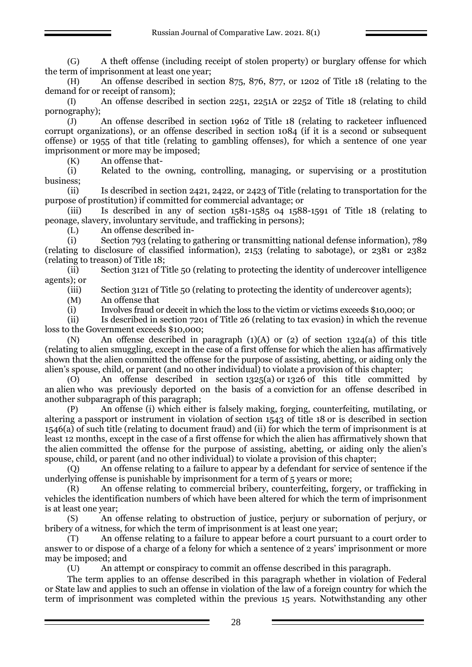(G) A theft offense (including receipt of stolen property) or burglary offense for which the term of imprisonment at least one year;

(H) An offense described in section 875, 876, 877, or 1202 of Title 18 (relating to the demand for or receipt of ransom);

(I) An offense described in section 2251, 2251A or 2252 of Title 18 (relating to child pornography);

(J) An offense described in section 1962 of Title 18 (relating to racketeer influenced corrupt organizations), or an offense described in section 1084 (if it is a second or subsequent offense) or 1955 of that title (relating to gambling offenses), for which a sentence of one year imprisonment or more may be imposed;

(K) An offense that-

(i) Related to the owning, controlling, managing, or supervising or a prostitution business;

(ii) Is described in section 2421, 2422, or 2423 of Title (relating to transportation for the purpose of prostitution) if committed for commercial advantage; or

(iii) Is described in any of section 1581-1585 o4 1588-1591 of Title 18 (relating to peonage, slavery, involuntary servitude, and trafficking in persons);

(L) An offense described in-

(i) Section 793 (relating to gathering or transmitting national defense information), 789 (relating to disclosure of classified information), 2153 (relating to sabotage), or 2381 or 2382 (relating to treason) of Title 18;

(ii) Section 3121 of Title 50 (relating to protecting the identity of undercover intelligence agents); or

(iii) Section 3121 of Title 50 (relating to protecting the identity of undercover agents);

(M) An offense that

(i) Involves fraud or deceit in which the loss to the victim or victims exceeds \$10,000; or

(ii) Is described in section 7201 of Title 26 (relating to tax evasion) in which the revenue loss to the Government exceeds \$10,000;

(N) An offense described in paragraph (1)(A) or (2) of section 1324(a) of this title (relating to alien smuggling, except in the case of a first offense for which the alien has affirmatively shown that the alien committed the offense for the purpose of assisting, abetting, or aiding only the alien's spouse, child, or parent (and no other individual) to violate a provision of this chapter;

 $(0)$  An offense described in section 1325(a) or 1326 of this title committed by an alien who was previously deported on the basis of a conviction for an offense described in another subparagraph of this paragraph;

(P) An offense (i) which either is falsely making, forging, counterfeiting, mutilating, or altering a passport or instrument in violation of section 1543 of title 18 or is described in section 1546(a) of such title (relating to document fraud) and (ii) for which the term of imprisonment is at least 12 months, except in the case of a first offense for which the alien has affirmatively shown that the alien committed the offense for the purpose of assisting, abetting, or aiding only the alien's spouse, child, or parent (and no other individual) to violate a provision of this chapter;

(Q) An offense relating to a failure to appear by a defendant for service of sentence if the underlying offense is punishable by imprisonment for a term of 5 years or more;

(R) An offense relating to commercial bribery, counterfeiting, forgery, or trafficking in vehicles the identification numbers of which have been altered for which the term of imprisonment is at least one year;

(S) An offense relating to obstruction of justice, perjury or subornation of perjury, or bribery of a witness, for which the term of imprisonment is at least one year;

(T) An offense relating to a failure to appear before a court pursuant to a court order to answer to or dispose of a charge of a felony for which a sentence of 2 years' imprisonment or more may be imposed; and

(U) An attempt or conspiracy to commit an offense described in this paragraph.

The term applies to an offense described in this paragraph whether in violation of Federal or [State](https://www.law.cornell.edu/definitions/uscode.php?width=840&height=800&iframe=true&def_id=8-USC-80204913-1201680099&term_occur=999&term_src=) law and applies to such an offense in violation of the law of a foreign country for which the term of imprisonment was completed within the previous 15 years. Notwithstanding any other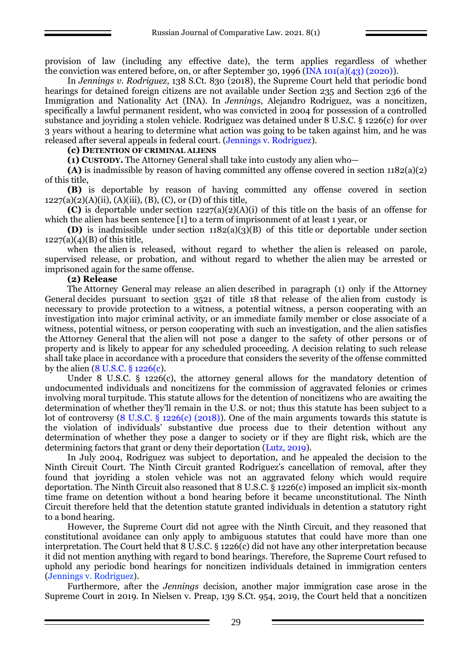provision of law (including any effective date), the term applies regardless of whether the [conviction](https://www.law.cornell.edu/definitions/uscode.php?width=840&height=800&iframe=true&def_id=8-USC-2143927138-1201680132&term_occur=999&term_src=) was entered before, on, or after September 30, 1996 (INA 101(a)(43) (2020)).

In *Jennings v. Rodriguez*, 138 S.Ct. 830 (2018), the Supreme Court held that periodic bond hearings for detained foreign citizens are not available under Section 235 and Section 236 of the Immigration and Nationality Act (INA). In *Jennings*, Alejandro Rodriguez, was a noncitizen, specifically a lawful permanent resident, who was convicted in 2004 for possession of a controlled substance and joyriding a stolen vehicle. Rodriguez was detained under 8 U.S.C. § 1226(c) for over 3 years without a hearing to determine what action was going to be taken against him, and he was released after several appeals in federal court. (Jennings v. Rodriguez).

## **(c) DETENTION OF CRIMINAL ALIENS**

**(1) CUSTODY.** The Attorney General shall take into custody any alien who—

**(A)** is inadmissible by reason of having committed any offense covered in section 1182(a)(2) of this title,

**(B)** is deportable by reason of having committed any offense covered in section  $1227(a)(2)(A)(ii)$ ,  $(A)(iii)$ ,  $(B)$ ,  $(C)$ , or  $(D)$  of this title,

**(C)** is deportable under section 1227(a)(2)(A)(i) of this title on the basis of an offense for which the alien has been sentence [1] to a term of imprisonment of at least 1 year, or

**(D)** is inadmissible under section 1182(a)(3)(B) of this title or deportable under section  $1227(a)(4)(B)$  of this title,

when the alien is released, without regard to whether the alien is released on parole, supervised release, or probation, and without regard to whether the alien may be arrested or imprisoned again for the same offense.

## **(2) Release**

The Attorney General may release an alien described in paragraph (1) only if the Attorney General decides pursuant to section 3521 of title 18 that release of the alien from custody is necessary to provide protection to a witness, a potential witness, a person cooperating with an investigation into major criminal activity, or an immediate family member or close associate of a witness, potential witness, or person cooperating with such an investigation, and the alien satisfies the Attorney General that the alien will not pose a danger to the safety of other persons or of property and is likely to appear for any scheduled proceeding. A decision relating to such release shall take place in accordance with a procedure that considers the severity of the offense committed by the alien (8 U.S.C. § 1226(c).

Under 8 U.S.C. § 1226(c), the attorney general allows for the mandatory detention of undocumented individuals and noncitizens for the commission of aggravated felonies or crimes involving moral turpitude. This statute allows for the detention of noncitizens who are awaiting the determination of whether they'll remain in the U.S. or not; thus this statute has been subject to a lot of controversy (8 U.S.C. § 1226(c) (2018)). One of the main arguments towards this statute is the violation of individuals' substantive due process due to their detention without any determination of whether they pose a danger to society or if they are flight risk, which are the determining factors that grant or deny their deportation (Lutz, 2019).

In July 2004, Rodriguez was subject to deportation, and he appealed the decision to the Ninth Circuit Court. The Ninth Circuit granted Rodriguez's cancellation of removal, after they found that joyriding a stolen vehicle was not an aggravated felony which would require deportation. The Ninth Circuit also reasoned that 8 U.S.C. § 1226(c) imposed an implicit six-month time frame on detention without a bond hearing before it became unconstitutional. The Ninth Circuit therefore held that the detention statute granted individuals in detention a statutory right to a bond hearing.

However, the Supreme Court did not agree with the Ninth Circuit, and they reasoned that constitutional avoidance can only apply to ambiguous statutes that could have more than one interpretation. The Court held that 8 U.S.C. § 1226(c) did not have any other interpretation because it did not mention anything with regard to bond hearings. Therefore, the Supreme Court refused to uphold any periodic bond hearings for noncitizen individuals detained in immigration centers (Jennings v. Rodriguez).

Furthermore, after the *Jennings* decision, another major immigration case arose in the Supreme Court in 2019. In Nielsen v. Preap, 139 S.Ct. 954, 2019, the Court held that a noncitizen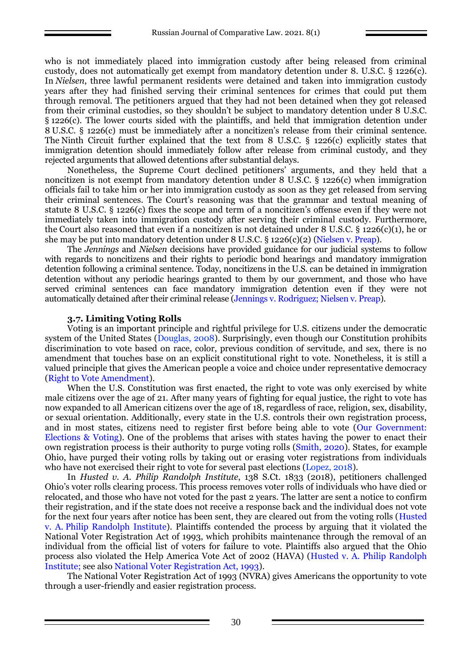who is not immediately placed into immigration custody after being released from criminal custody, does not automatically get exempt from mandatory detention under 8. U.S.C. § 1226(c). In *Nielsen*, three lawful permanent residents were detained and taken into immigration custody years after they had finished serving their criminal sentences for crimes that could put them through removal. The petitioners argued that they had not been detained when they got released from their criminal custodies, so they shouldn't be subject to mandatory detention under 8 U.S.C. § 1226(c). The lower courts sided with the plaintiffs, and held that immigration detention under 8 U.S.C. § 1226(c) must be immediately after a noncitizen's release from their criminal sentence. The Ninth Circuit further explained that the text from 8 U.S.C. § 1226(c) explicitly states that immigration detention should immediately follow after release from criminal custody, and they rejected arguments that allowed detentions after substantial delays.

Nonetheless, the Supreme Court declined petitioners' arguments, and they held that a noncitizen is not exempt from mandatory detention under 8 U.S.C. § 1226(c) when immigration officials fail to take him or her into immigration custody as soon as they get released from serving their criminal sentences. The Court's reasoning was that the grammar and textual meaning of statute 8 U.S.C. § 1226(c) fixes the scope and term of a noncitizen's offense even if they were not immediately taken into immigration custody after serving their criminal custody. Furthermore, the Court also reasoned that even if a noncitizen is not detained under 8 U.S.C. § 1226(c)(1), he or she may be put into mandatory detention under 8 U.S.C. § 1226(c)(2) (Nielsen v. Preap).

The *Jennings* and *Nielsen* decisions have provided guidance for our judicial systems to follow with regards to noncitizens and their rights to periodic bond hearings and mandatory immigration detention following a criminal sentence. Today, noncitizens in the U.S. can be detained in immigration detention without any periodic hearings granted to them by our government, and those who have served criminal sentences can face mandatory immigration detention even if they were not automatically detained after their criminal release (Jennings v. Rodriguez; Nielsen v. Preap).

## **3.7. Limiting Voting Rolls**

Voting is an important principle and rightful privilege for U.S. citizens under the democratic system of the United States (Douglas, 2008). Surprisingly, even though our Constitution prohibits discrimination to vote based on race, color, previous condition of servitude, and sex, there is no amendment that touches base on an explicit constitutional right to vote. Nonetheless, it is still a valued principle that gives the American people a voice and choice under representative democracy (Right to Vote Amendment).

When the U.S. Constitution was first enacted, the right to vote was only exercised by white male citizens over the age of 21. After many years of fighting for equal justice, the right to vote has now expanded to all American citizens over the age of 18, regardless of race, religion, sex, disability, or sexual orientation. Additionally, every state in the U.S. controls their own registration process, and in most states, citizens need to register first before being able to vote (Our Government: Elections & Voting). One of the problems that arises with states having the power to enact their own registration process is their authority to purge voting rolls (Smith, 2020). States, for example Ohio, have purged their voting rolls by taking out or erasing voter registrations from individuals who have not exercised their right to vote for several past elections (Lopez, 2018).

In *Husted v. A. Philip Randolph Institute*, 138 S.Ct. 1833 (2018), petitioners challenged Ohio's voter rolls clearing process. This process removes voter rolls of individuals who have died or relocated, and those who have not voted for the past 2 years. The latter are sent a notice to confirm their registration, and if the state does not receive a response back and the individual does not vote for the next four years after notice has been sent, they are cleared out from the voting rolls (Husted v. A. Philip Randolph Institute). Plaintiffs contended the process by arguing that it violated the National Voter Registration Act of 1993, which prohibits maintenance through the removal of an individual from the official list of voters for failure to vote. Plaintiffs also argued that the Ohio process also violated the Help America Vote Act of 2002 (HAVA) (Husted v. A. Philip Randolph Institute; see also National Voter Registration Act, 1993).

The National Voter Registration Act of 1993 (NVRA) gives Americans the opportunity to vote through a user-friendly and easier registration process.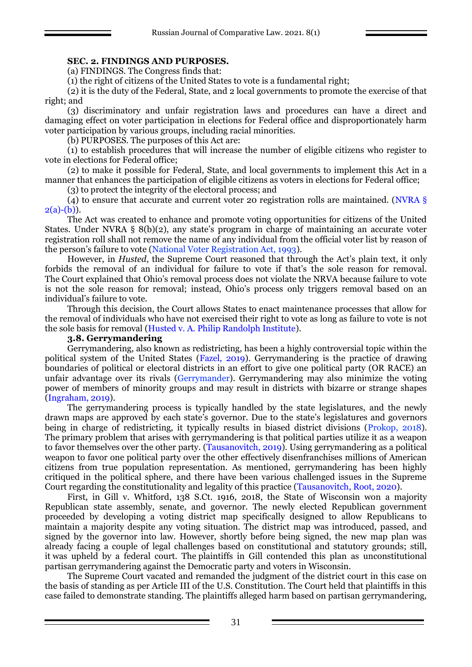## **SEC. 2. FINDINGS AND PURPOSES.**

(a) FINDINGS. The Congress finds that:

(1) the right of citizens of the United States to vote is a fundamental right;

(2) it is the duty of the Federal, State, and 2 local governments to promote the exercise of that right; and

(3) discriminatory and unfair registration laws and procedures can have a direct and damaging effect on voter participation in elections for Federal office and disproportionately harm voter participation by various groups, including racial minorities.

(b) PURPOSES. The purposes of this Act are:

(1) to establish procedures that will increase the number of eligible citizens who register to vote in elections for Federal office;

(2) to make it possible for Federal, State, and local governments to implement this Act in a manner that enhances the participation of eligible citizens as voters in elections for Federal office;

(3) to protect the integrity of the electoral process; and

(4) to ensure that accurate and current voter 20 registration rolls are maintained. (NVRA §  $2(a)-(b)$ ).

The Act was created to enhance and promote voting opportunities for citizens of the United States. Under NVRA § 8(b)(2), any state's program in charge of maintaining an accurate voter registration roll shall not remove the name of any individual from the official voter list by reason of the person's failure to vote (National Voter Registration Act, 1993).

However, in *Husted*, the Supreme Court reasoned that through the Act's plain text, it only forbids the removal of an individual for failure to vote if that's the sole reason for removal. The Court explained that Ohio's removal process does not violate the NRVA because failure to vote is not the sole reason for removal; instead, Ohio's process only triggers removal based on an individual's failure to vote.

Through this decision, the Court allows States to enact maintenance processes that allow for the removal of individuals who have not exercised their right to vote as long as failure to vote is not the sole basis for removal (Husted v. A. Philip Randolph Institute).

#### **3.8. Gerrymandering**

Gerrymandering, also known as redistricting, has been a highly controversial topic within the political system of the United States (Fazel, 2019). Gerrymandering is the practice of drawing boundaries of political or electoral districts in an effort to give one political party (OR RACE) an unfair advantage over its rivals (Gerrymander). Gerrymandering may also minimize the voting power of members of minority groups and may result in districts with bizarre or strange shapes (Ingraham, 2019).

The gerrymandering process is typically handled by the state legislatures, and the newly drawn maps are approved by each state's governor. Due to the state's legislatures and governors being in charge of redistricting, it typically results in biased district divisions (Prokop, 2018). The primary problem that arises with gerrymandering is that political parties utilize it as a weapon to favor themselves over the other party. (Tausanovitch, 2019). Using gerrymandering as a political weapon to favor one political party over the other effectively disenfranchises millions of American citizens from true population representation. As mentioned, gerrymandering has been highly critiqued in the political sphere, and there have been various challenged issues in the Supreme Court regarding the constitutionality and legality of this practice (Tausanovitch, Root, 2020).

First, in Gill v. Whitford, 138 S.Ct. 1916, 2018, the State of Wisconsin won a majority Republican state assembly, senate, and governor. The newly elected Republican government proceeded by developing a voting district map specifically designed to allow Republicans to maintain a majority despite any voting situation. The district map was introduced, passed, and signed by the governor into law. However, shortly before being signed, the new map plan was already facing a couple of legal challenges based on constitutional and statutory grounds; still, it was upheld by a federal court. The plaintiffs in Gill contended this plan as unconstitutional partisan gerrymandering against the Democratic party and voters in Wisconsin.

The Supreme Court vacated and remanded the judgment of the district court in this case on the basis of standing as per Article III of the U.S. Constitution. The Court held that plaintiffs in this case failed to demonstrate standing. The plaintiffs alleged harm based on partisan gerrymandering,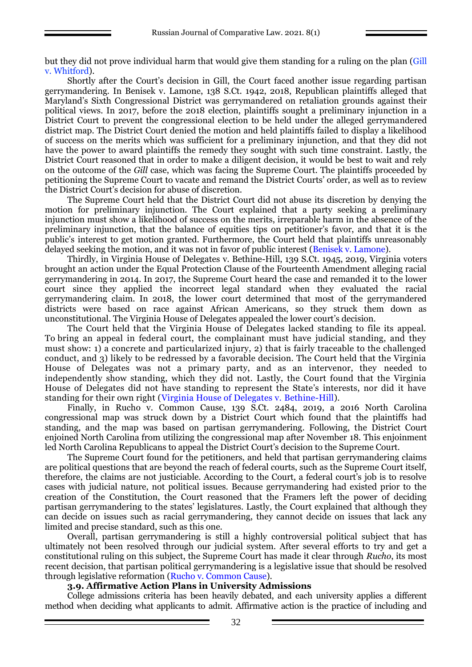but they did not prove individual harm that would give them standing for a ruling on the plan (Gill v. Whitford).

Shortly after the Court's decision in Gill, the Court faced another issue regarding partisan gerrymandering. In Benisek v. Lamone, 138 S.Ct. 1942, 2018, Republican plaintiffs alleged that Maryland's Sixth Congressional District was gerrymandered on retaliation grounds against their political views. In 2017, before the 2018 election, plaintiffs sought a preliminary injunction in a District Court to prevent the congressional election to be held under the alleged gerrymandered district map. The District Court denied the motion and held plaintiffs failed to display a likelihood of success on the merits which was sufficient for a preliminary injunction, and that they did not have the power to award plaintiffs the remedy they sought with such time constraint. Lastly, the District Court reasoned that in order to make a diligent decision, it would be best to wait and rely on the outcome of the *Gill* case, which was facing the Supreme Court. The plaintiffs proceeded by petitioning the Supreme Court to vacate and remand the District Courts' order, as well as to review the District Court's decision for abuse of discretion.

The Supreme Court held that the District Court did not abuse its discretion by denying the motion for preliminary injunction. The Court explained that a party seeking a preliminary injunction must show a likelihood of success on the merits, irreparable harm in the absence of the preliminary injunction, that the balance of equities tips on petitioner's favor, and that it is the public's interest to get motion granted. Furthermore, the Court held that plaintiffs unreasonably delayed seeking the motion, and it was not in favor of public interest (Benisek v. Lamone).

Thirdly, in Virginia House of Delegates v. Bethine-Hill, 139 S.Ct. 1945, 2019, Virginia voters brought an action under the Equal Protection Clause of the Fourteenth Amendment alleging racial gerrymandering in 2014. In 2017, the Supreme Court heard the case and remanded it to the lower court since they applied the incorrect legal standard when they evaluated the racial gerrymandering claim. In 2018, the lower court determined that most of the gerrymandered districts were based on race against African Americans, so they struck them down as unconstitutional. The Virginia House of Delegates appealed the lower court's decision.

The Court held that the Virginia House of Delegates lacked standing to file its appeal. To bring an appeal in federal court, the complainant must have judicial standing, and they must show: 1) a concrete and particularized injury, 2) that is fairly traceable to the challenged conduct, and 3) likely to be redressed by a favorable decision. The Court held that the Virginia House of Delegates was not a primary party, and as an intervenor, they needed to independently show standing, which they did not. Lastly, the Court found that the Virginia House of Delegates did not have standing to represent the State's interests, nor did it have standing for their own right (Virginia House of Delegates v. Bethine-Hill).

Finally, in Rucho v. Common Cause, 139 S.Ct. 2484, 2019, a 2016 North Carolina congressional map was struck down by a District Court which found that the plaintiffs had standing, and the map was based on partisan gerrymandering. Following, the District Court enjoined North Carolina from utilizing the congressional map after November 18. This enjoinment led North Carolina Republicans to appeal the District Court's decision to the Supreme Court.

The Supreme Court found for the petitioners, and held that partisan gerrymandering claims are political questions that are beyond the reach of federal courts, such as the Supreme Court itself, therefore, the claims are not justiciable. According to the Court, a federal court's job is to resolve cases with judicial nature, not political issues. Because gerrymandering had existed prior to the creation of the Constitution, the Court reasoned that the Framers left the power of deciding partisan gerrymandering to the states' legislatures. Lastly, the Court explained that although they can decide on issues such as racial gerrymandering, they cannot decide on issues that lack any limited and precise standard, such as this one.

Overall, partisan gerrymandering is still a highly controversial political subject that has ultimately not been resolved through our judicial system. After several efforts to try and get a constitutional ruling on this subject, the Supreme Court has made it clear through *Rucho*, its most recent decision, that partisan political gerrymandering is a legislative issue that should be resolved through legislative reformation (Rucho v. Common Cause).

#### **3.9. Affirmative Action Plans in University Admissions**

College admissions criteria has been heavily debated, and each university applies a different method when deciding what applicants to admit. Affirmative action is the practice of including and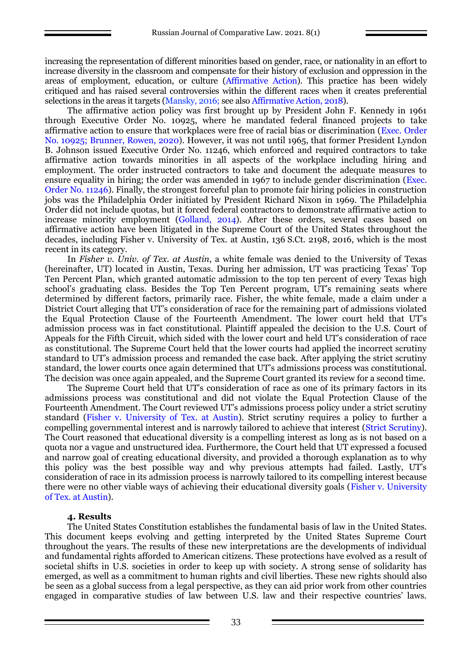increasing the representation of different minorities based on gender, race, or nationality in an effort to increase diversity in the classroom and compensate for their history of exclusion and oppression in the areas of employment, education, or culture (Affirmative Action). This practice has been widely critiqued and has raised several controversies within the different races when it creates preferential selections in the areas it targets (Mansky, 2016; see also Affirmative Action, 2018).

The affirmative action policy was first brought up by President John F. Kennedy in 1961 through Executive Order No. 10925, where he mandated federal financed projects to take affirmative action to ensure that workplaces were free of racial bias or discrimination (Exec. Order No. 10925; Brunner, Rowen, 2020). However, it was not until 1965, that former President Lyndon B. Johnson issued Executive Order No. 11246, which enforced and required contractors to take affirmative action towards minorities in all aspects of the workplace including hiring and employment. The order instructed contractors to take and document the adequate measures to ensure equality in hiring; the order was amended in 1967 to include gender discrimination (Exec. Order No. 11246). Finally, the strongest forceful plan to promote fair hiring policies in construction jobs was the Philadelphia Order initiated by President Richard Nixon in 1969. The Philadelphia Order did not include quotas, but it forced federal contractors to demonstrate affirmative action to increase minority employment (Golland, 2014). After these orders, several cases based on affirmative action have been litigated in the Supreme Court of the United States throughout the decades, including Fisher v. University of Tex. at Austin, 136 S.Ct. 2198, 2016, which is the most recent in its category.

In *Fisher v. Univ. of Tex. at Austin*, a white female was denied to the University of Texas (hereinafter, UT) located in Austin, Texas. During her admission, UT was practicing Texas' Top Ten Percent Plan, which granted automatic admission to the top ten percent of every Texas high school's graduating class. Besides the Top Ten Percent program, UT's remaining seats where determined by different factors, primarily race. Fisher, the white female, made a claim under a District Court alleging that UT's consideration of race for the remaining part of admissions violated the Equal Protection Clause of the Fourteenth Amendment. The lower court held that UT's admission process was in fact constitutional. Plaintiff appealed the decision to the U.S. Court of Appeals for the Fifth Circuit, which sided with the lower court and held UT's consideration of race as constitutional. The Supreme Court held that the lower courts had applied the incorrect scrutiny standard to UT's admission process and remanded the case back. After applying the strict scrutiny standard, the lower courts once again determined that UT's admissions process was constitutional. The decision was once again appealed, and the Supreme Court granted its review for a second time.

The Supreme Court held that UT's consideration of race as one of its primary factors in its admissions process was constitutional and did not violate the Equal Protection Clause of the Fourteenth Amendment. The Court reviewed UT's admissions process policy under a strict scrutiny standard (Fisher v. University of Tex. at Austin). Strict scrutiny requires a policy to further a compelling governmental interest and is narrowly tailored to achieve that interest (Strict Scrutiny). The Court reasoned that educational diversity is a compelling interest as long as is not based on a quota nor a vague and unstructured idea. Furthermore, the Court held that UT expressed a focused and narrow goal of creating educational diversity, and provided a thorough explanation as to why this policy was the best possible way and why previous attempts had failed. Lastly, UT's consideration of race in its admission process is narrowly tailored to its compelling interest because there were no other viable ways of achieving their educational diversity goals (Fisher v. University of Tex. at Austin).

## **4. Results**

The United States Constitution establishes the fundamental basis of law in the United States. This document keeps evolving and getting interpreted by the United States Supreme Court throughout the years. The results of these new interpretations are the developments of individual and fundamental rights afforded to American citizens. These protections have evolved as a result of societal shifts in U.S. societies in order to keep up with society. A strong sense of solidarity has emerged, as well as a commitment to human rights and civil liberties. These new rights should also be seen as a global success from a legal perspective, as they can aid prior work from other countries engaged in comparative studies of law between U.S. law and their respective countries' laws.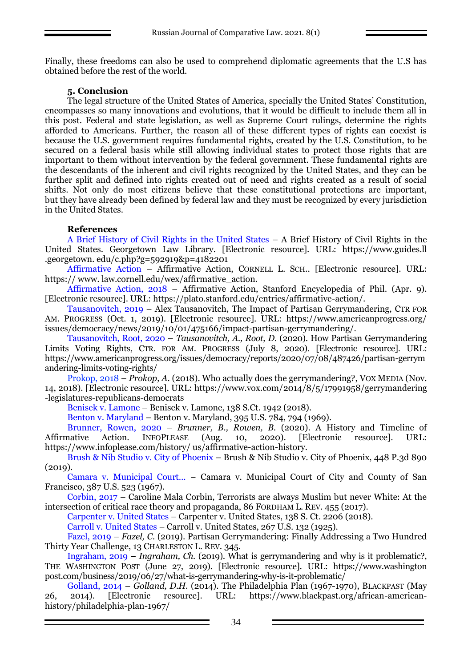Finally, these freedoms can also be used to comprehend diplomatic agreements that the U.S has obtained before the rest of the world.

## **5. Conclusion**

The legal structure of the United States of America, specially the United States' Constitution, encompasses so many innovations and evolutions, that it would be difficult to include them all in this post. Federal and state legislation, as well as Supreme Court rulings, determine the rights afforded to Americans. Further, the reason all of these different types of rights can coexist is because the U.S. government requires fundamental rights, created by the U.S. Constitution, to be secured on a federal basis while still allowing individual states to protect those rights that are important to them without intervention by the federal government. These fundamental rights are the descendants of the inherent and civil rights recognized by the United States, and they can be further split and defined into rights created out of need and rights created as a result of social shifts. Not only do most citizens believe that these constitutional protections are important, but they have already been defined by federal law and they must be recognized by every jurisdiction in the United States.

## **References**

A Brief History of Civil Rights in the United States *–* A Brief History of Civil Rights in the United States. Georgetown Law Library*.* [Electronic resource]. URL: https://www.guides.ll .georgetown. edu/c.php?g=592919&p=4182201

Affirmative Action *–* Affirmative Action, CORNELL L. SCH.. [Electronic resource]. URL: https:// www. law.cornell.edu/wex/affirmative\_action.

Affirmative Action, 2018 *–* Affirmative Action, Stanford Encyclopedia of Phil. (Apr. 9). [Electronic resource]. URL: https://plato.stanford.edu/entries/affirmative-action/.

Tausanovitch, 2019 – Alex Tausanovitch, The Impact of Partisan Gerrymandering, CTR FOR AM. PROGRESS (Oct. 1, 2019). [Electronic resource]. URL: https://www.americanprogress.org/ issues/democracy/news/2019/10/01/475166/impact-partisan-gerrymandering/.

Tausanovitch, Root, 2020 – *Tausanovitch, A., Root, D.* (2020). How Partisan Gerrymandering Limits Voting Rights, CTR. FOR AM. PROGRESS (July 8, 2020). [Electronic resource]. URL: https://www.americanprogress.org/issues/democracy/reports/2020/07/08/487426/partisan-gerrym andering-limits-voting-rights/

Prokop, 2018 – *Prokop, A.* (2018). Who actually does the gerrymandering?, VOX MEDIA (Nov. 14, 2018). [Electronic resource]. URL: https://www.vox.com/2014/8/5/17991958/gerrymandering -legislatures-republicans-democrats

Benisek v. Lamone – Benisek v. Lamone, 138 S.Ct. 1942 (2018).

Benton v. Maryland – Benton v. Maryland, 395 U.S. 784, 794 (1969).

Brunner, Rowen, 2020 – *Brunner, B., Rowen, B.* (2020). A History and Timeline of Affirmative Action. INFOPLEASE (Aug. 10, 2020). [Electronic resource]. URL: https://www.infoplease.com/history/ us/affirmative-action-history.

Brush & Nib Studio v. City of Phoenix – Brush & Nib Studio v. City of Phoenix, 448 P.3d 890 (2019).

Camara v. Municipal Court… − Camara v. Municipal Court of City and County of San Francisco, 387 U.S. 523 (1967).

Corbin, 2017 – Caroline Mala Corbin, Terrorists are always Muslim but never White: At the intersection of critical race theory and propaganda, 86 FORDHAM L. REV. 455 (2017).

Carpenter v. United States – Carpenter v. United States, 138 S. Ct. 2206 (2018).

Carroll v. United States – Carroll v. United States, 267 U.S. 132 (1925).

Fazel, 2019 – *Fazel, C.* (2019). Partisan Gerrymandering: Finally Addressing a Two Hundred Thirty Year Challenge, 13 CHARLESTON L. REV. 345.

Ingraham, 2019 – *Ingraham, Ch.* (2019). What is gerrymandering and why is it problematic?, THE WASHINGTON POST (June 27, 2019). [Electronic resource]. URL: https://www.washington post.com/business/2019/06/27/what-is-gerrymandering-why-is-it-problematic/

Golland, 2014 – *Golland, D.H.* (2014). The Philadelphia Plan (1967-1970), BLACKPAST (May 26, 2014). [Electronic resource]. URL: https://www.blackpast.org/african-americanhistory/philadelphia-plan-1967/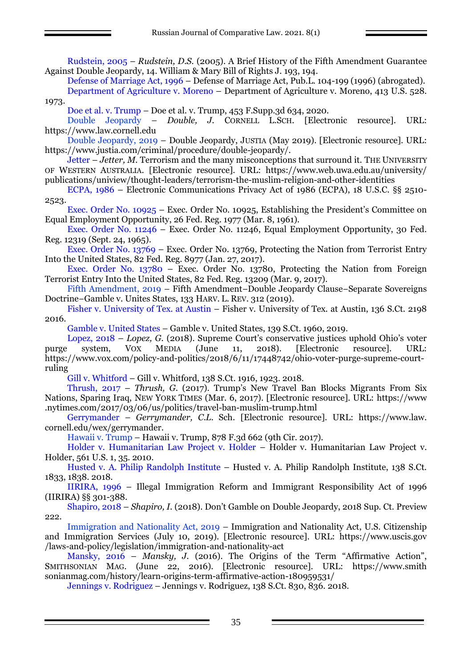Rudstein, 2005 – *Rudstein, D.S.* (2005). A Brief History of the Fifth Amendment Guarantee Against Double Jeopardy, 14. William & Mary Bill of Rights J. 193, 194.

Defense of Marriage Act, 1996 – Defense of Marriage Act, Pub.L. 104-199 (1996) (abrogated). Department of Agriculture v. Moreno – Department of Agriculture v. Moreno, 413 U.S. 528. 1973.

Doe et al. v. Trump – Doe et al. v. Trump, 453 F.Supp.3d 634, 2020.

Double Jeopardy *– Double, J.* CORNELL L.SCH. [Electronic resource]. URL: https://www.law.cornell.edu

Double Jeopardy, 2019 *–* Double Jeopardy, JUSTIA (May 2019). [Electronic resource]. URL: https://www.justia.com/criminal/procedure/double-jeopardy/.

Jetter – *Jetter, M.* Terrorism and the many misconceptions that surround it. THE UNIVERSITY OF WESTERN AUSTRALIA. [Electronic resource]. URL: https://www.web.uwa.edu.au/university/ publications/uniview/thought-leaders/terrorism-the-muslim-religion-and-other-identities

ECPA, 1986 – Electronic Communications Privacy Act of 1986 (ECPA), 18 U.S.C. §§ 2510- 2523.

Exec. Order No. 10925 – Exec. Order No. 10925, Establishing the President's Committee on Equal Employment Opportunity, 26 Fed. Reg. 1977 (Mar. 8, 1961).

Exec. Order No. 11246 – Exec. Order No. 11246, Equal Employment Opportunity, 30 Fed. Reg. 12319 (Sept. 24, 1965).

Exec. Order No. 13769 – Exec. Order No. 13769, Protecting the Nation from Terrorist Entry Into the United States, 82 Fed. Reg. 8977 (Jan. 27, 2017).

Exec. Order No. 13780 – Exec. Order No. 13780, Protecting the Nation from Foreign Terrorist Entry Into the United States, 82 Fed. Reg. 13209 (Mar. 9, 2017).

Fifth Amendment, 2019 *–* Fifth Amendment−Double Jeopardy Clause−Separate Sovereigns Doctrine−Gamble v. Unites States, 133 HARV. L. REV. 312 (2019).

Fisher v. University of Tex. at Austin – Fisher v. University of Tex. at Austin, 136 S.Ct. 2198 2016.

Gamble v. United States – Gamble v. United States, 139 S.Ct. 1960, 2019.

Lopez, 2018 – *Lopez, G.* (2018). Supreme Court's conservative justices uphold Ohio's voter purge system, VOX MEDIA (June 11, 2018). [Electronic resource]. URL: https://www.vox.com/policy-and-politics/2018/6/11/17448742/ohio-voter-purge-supreme-courtruling

Gill v. Whitford – Gill v. Whitford, 138 S.Ct. 1916, 1923. 2018.

Thrush, 2017 – *Thrush, G*. (2017). Trump's New Travel Ban Blocks Migrants From Six Nations, Sparing Iraq, NEW YORK TIMES (Mar. 6, 2017). [Electronic resource]. URL: https://www .nytimes.com/2017/03/06/us/politics/travel-ban-muslim-trump.html

Gerrymander *– Gerrymander, C.L.* Sch. [Electronic resource]. URL: https://www.law. cornell.edu/wex/gerrymander.

Hawaii v. Trump – Hawaii v. Trump, 878 F.3d 662 (9th Cir. 2017).

Holder v. Humanitarian Law Project v. Holder – Holder v. Humanitarian Law Project v. Holder, 561 U.S. 1, 35. 2010.

Husted v. A. Philip Randolph Institute – Husted v. A. Philip Randolph Institute, 138 S.Ct. 1833, 1838. 2018.

IIRIRA, 1996 – Illegal Immigration Reform and Immigrant Responsibility Act of 1996 (IIRIRA) §§ 301-388.

Shapiro, 2018 – *Shapiro, I.* (2018). Don't Gamble on Double Jeopardy, 2018 Sup. Ct. Preview 222.

Immigration and Nationality Act, 2019 *–* Immigration and Nationality Act, U.S. Citizenship and Immigration Services (July 10, 2019). [Electronic resource]. URL: https://www.uscis.gov /laws-and-policy/legislation/immigration-and-nationality-act

Mansky, 2016 – *Mansky, J.* (2016). The Origins of the Term "Affirmative Action", SMITHSONIAN MAG. (June 22, 2016). [Electronic resource]. URL: https://www.smith sonianmag.com/history/learn-origins-term-affirmative-action-180959531/

Jennings v. Rodriguez – Jennings v. Rodriguez, 138 S.Ct. 830, 836. 2018.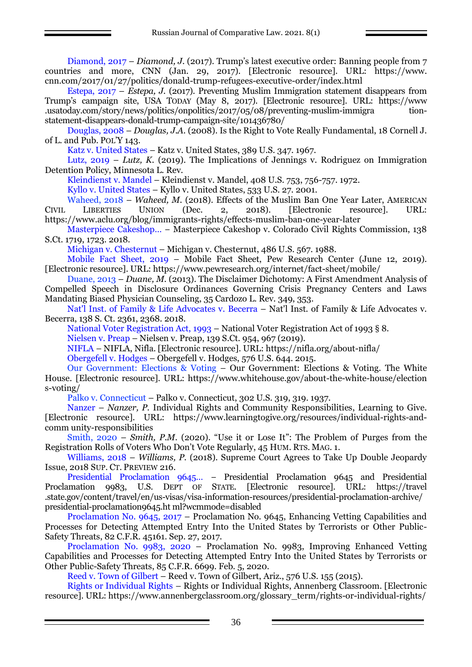Diamond, 2017 – *Diamond, J.* (2017). Trump's latest executive order: Banning people from 7 countries and more, CNN (Jan. 29, 2017). [Electronic resource]. URL: https://www. cnn.com/2017/01/27/politics/donald-trump-refugees-executive-order/index.html

Estepa, 2017 – *Estepa, J.* (2017). Preventing Muslim Immigration statement disappears from Trump's campaign site, USA TODAY (May 8, 2017). [Electronic resource]. URL: https://www .usatoday.com/story/news/politics/onpolitics/2017/05/08/preventing-muslim-immigra tionstatement-disappears-donald-trump-campaign-site/101436780/

Douglas, 2008 – *Douglas, J.A.* (2008). Is the Right to Vote Really Fundamental, 18 Cornell J. of L. and Pub. POL'Y 143.

Katz v. United States – Katz v. United States, 389 U.S. 347. 1967.

Lutz, 2019 – *Lutz, K.* (2019). The Implications of Jennings v. Rodriguez on Immigration Detention Policy, Minnesota L. Rev.

Kleindienst v. Mandel – Kleindienst v. Mandel, 408 U.S. 753, 756-757. 1972.

Kyllo v. United States – Kyllo v. United States, 533 U.S. 27. 2001.

Waheed, 2018 – *Waheed, M.* (2018). Effects of the Muslim Ban One Year Later, AMERICAN CIVIL LIBERTIES UNION (Dec. 2, 2018). [Electronic resource]. URL:

https://www.aclu.org/blog/immigrants-rights/effects-muslim-ban-one-year-later Masterpiece Cakeshop… − Masterpiece Cakeshop v. Colorado Civil Rights Commission, 138

S.Ct. 1719, 1723. 2018.

Michigan v. Chesternut – Michigan v. Chesternut, 486 U.S. 567. 1988.

Mobile Fact Sheet, 2019 – Mobile Fact Sheet, Pew Research Center (June 12, 2019). [Electronic resource]. URL: https://www.pewresearch.org/internet/fact-sheet/mobile/

Duane, 2013 – *Duane, M.* (2013). The Disclaimer Dichotomy: A First Amendment Analysis of Compelled Speech in Disclosure Ordinances Governing Crisis Pregnancy Centers and Laws Mandating Biased Physician Counseling, 35 Cardozo L. Rev. 349, 353.

Nat'l Inst. of Family & Life Advocates v. Becerra – Nat'l Inst. of Family & Life Advocates v. Becerra, 138 S. Ct. 2361, 2368. 2018.

National Voter Registration Act, 1993 – National Voter Registration Act of 1993 § 8.

Nielsen v. Preap – Nielsen v. Preap, 139 S.Ct. 954, 967 (2019).

NIFLA *–* NIFLA, Nifla. [Electronic resource]. URL: https://nifla.org/about-nifla/

Obergefell v. Hodges – Obergefell v. Hodges, 576 U.S. 644. 2015.

Our Government: Elections & Voting *–* Our Government: Elections & Voting. The White House. [Electronic resource]. URL: https://www.whitehouse.gov/about-the-white-house/election s-voting/

Palko v. Connecticut – Palko v. Connecticut, 302 U.S. 319, 319. 1937.

Nanzer – *Nanzer, P.* Individual Rights and Community Responsibilities, Learning to Give. [Electronic resource]. URL: https://www.learningtogive.org/resources/individual-rights-andcomm unity-responsibilities

Smith, 2020 – *Smith, P.M*. (2020). "Use it or Lose It": The Problem of Purges from the Registration Rolls of Voters Who Don't Vote Regularly, 45 HUM. RTS. MAG. 1.

Williams, 2018 – *Williams, P.* (2018). Supreme Court Agrees to Take Up Double Jeopardy Issue, 2018 SUP. CT. PREVIEW 216.

Presidential Proclamation 9645… *−* Presidential Proclamation 9645 and Presidential Proclamation 9983, U.S. DEPT OF STATE. [Electronic resource]. URL: https://travel .state.gov/content/travel/en/us-visas/visa-information-resources/presidential-proclamation-archive/ presidential-proclamation9645.ht ml?wcmmode=disabled

Proclamation No. 9645, 2017 – Proclamation No. 9645, Enhancing Vetting Capabilities and Processes for Detecting Attempted Entry Into the United States by Terrorists or Other Public-Safety Threats, 82 C.F.R. 45161. Sep. 27, 2017.

Proclamation No. 9983, 2020 – Proclamation No. 9983, Improving Enhanced Vetting Capabilities and Processes for Detecting Attempted Entry Into the United States by Terrorists or Other Public-Safety Threats, 85 C.F.R. 6699. Feb. 5, 2020.

Reed v. Town of Gilbert – Reed v. Town of Gilbert, Ariz*.*, 576 U.S. 155 (2015).

Rights or Individual Rights *–* Rights or Individual Rights, Annenberg Classroom. [Electronic resource]. URL: https://www.annenbergclassroom.org/glossary\_term/rights-or-individual-rights/